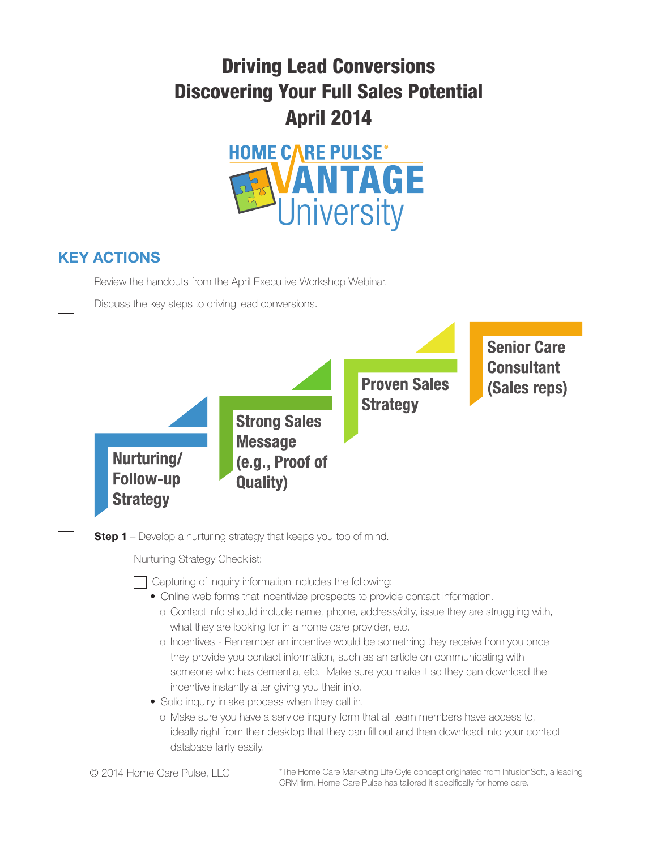## Driving Lead Conversions Discovering Your Full Sales Potential April 2014



## **KEY ACTIONS**

Review the handouts from the April Executive Workshop Webinar.

Discuss the key steps to driving lead conversions.



**Step 1** – Develop a nurturing strategy that keeps you top of mind.

Nurturing Strategy Checklist:

 $\Box$  Capturing of inquiry information includes the following:

- Online web forms that incentivize prospects to provide contact information.
	- o Contact info should include name, phone, address/city, issue they are struggling with, what they are looking for in a home care provider, etc.
	- o Incentives Remember an incentive would be something they receive from you once they provide you contact information, such as an article on communicating with someone who has dementia, etc. Make sure you make it so they can download the incentive instantly after giving you their info.
- Solid inquiry intake process when they call in.
	- o Make sure you have a service inquiry form that all team members have access to, ideally right from their desktop that they can fill out and then download into your contact database fairly easily.

© 2014 Home Care Pulse, LLC

\*The Home Care Marketing Life Cyle concept originated from InfusionSoft, a leading CRM firm, Home Care Pulse has tailored it specifically for home care.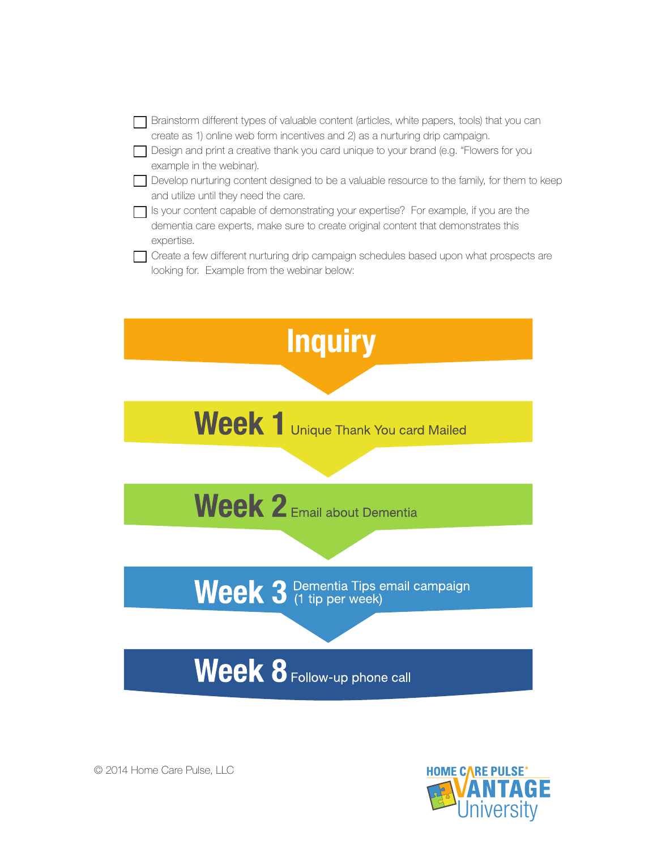| Brainstorm different types of valuable content (articles, white papers, tools) that you can<br>create as 1) online web form incentives and 2) as a nurturing drip campaign.              |
|------------------------------------------------------------------------------------------------------------------------------------------------------------------------------------------|
| Design and print a creative thank you card unique to your brand (e.g. "Flowers for you<br>example in the webinar).                                                                       |
| Develop nurturing content designed to be a valuable resource to the family, for them to keep<br>and utilize until they need the care.                                                    |
| Is your content capable of demonstrating your expertise? For example, if you are the<br>dementia care experts, make sure to create original content that demonstrates this<br>expertise. |
| Create a few different nurturing drip campaign schedules based upon what prospects are<br>looking for. Example from the webinar below:                                                   |



© 2014 Home Care Pulse, LLC

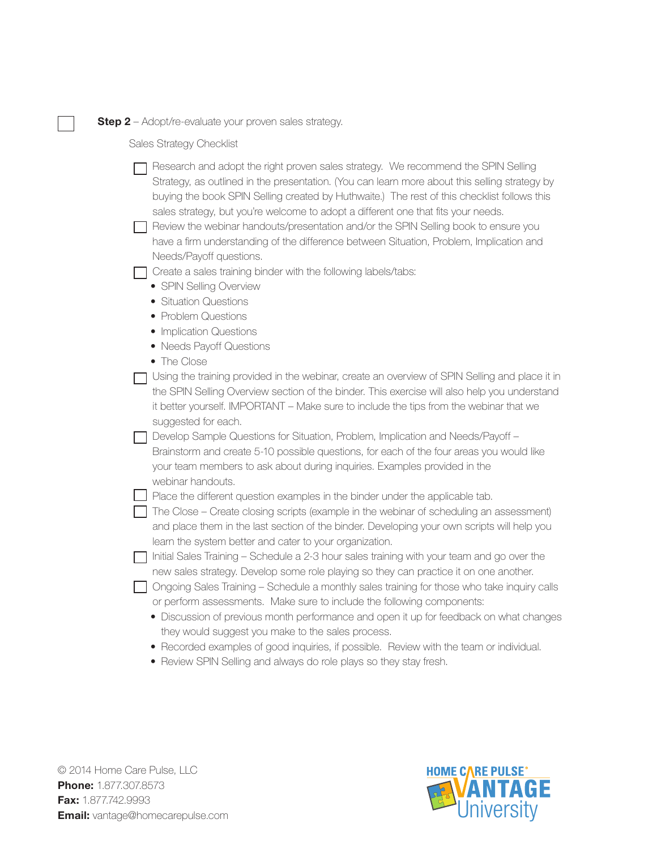**Step 2** – Adopt/re-evaluate your proven sales strategy.

Sales Strategy Checklist

 $\Box$  Research and adopt the right proven sales strategy. We recommend the SPIN Selling Strategy, as outlined in the presentation. (You can learn more about this selling strategy by buying the book SPIN Selling created by Huthwaite.) The rest of this checklist follows this sales strategy, but you're welcome to adopt a different one that fits your needs.

 $\Box$  Review the webinar handouts/presentation and/or the SPIN Selling book to ensure you have a firm understanding of the difference between Situation, Problem, Implication and Needs/Payoff questions.

 $\Box$  Create a sales training binder with the following labels/tabs:

- SPIN Selling Overview
- Situation Questions
- Problem Questions
- Implication Questions
- Needs Payoff Questions
- The Close

 $\Box$  Using the training provided in the webinar, create an overview of SPIN Selling and place it in the SPIN Selling Overview section of the binder. This exercise will also help you understand it better yourself. IMPORTANT – Make sure to include the tips from the webinar that we suggested for each.

□ Develop Sample Questions for Situation, Problem, Implication and Needs/Payoff – Brainstorm and create 5-10 possible questions, for each of the four areas you would like your team members to ask about during inquiries. Examples provided in the webinar handouts.

 $\Box$  Place the different question examples in the binder under the applicable tab.

 $\Box$  The Close – Create closing scripts (example in the webinar of scheduling an assessment) and place them in the last section of the binder. Developing your own scripts will help you learn the system better and cater to your organization.

 $\Box$  Initial Sales Training – Schedule a 2-3 hour sales training with your team and go over the new sales strategy. Develop some role playing so they can practice it on one another.

 $\Box$  Ongoing Sales Training – Schedule a monthly sales training for those who take inquiry calls or perform assessments. Make sure to include the following components:

- Discussion of previous month performance and open it up for feedback on what changes they would suggest you make to the sales process.
- Recorded examples of good inquiries, if possible. Review with the team or individual.
- Review SPIN Selling and always do role plays so they stay fresh.